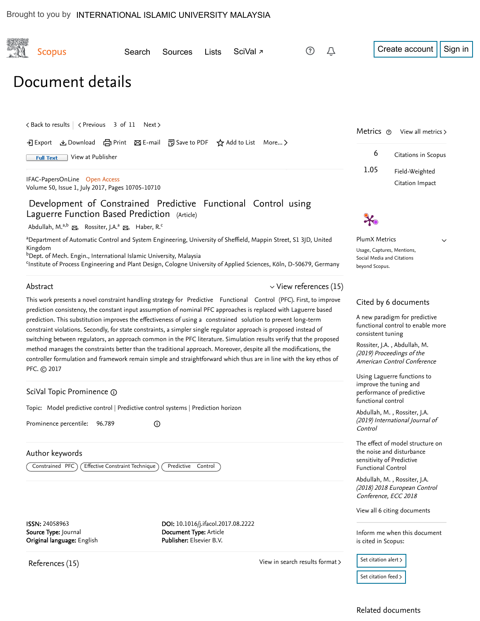<span id="page-0-0"></span>

| <b>Scopus</b>                                                                                                                                                                                                                                                                                                                                                                                                                                                                                                                                                                                                                                                                                                                                                                                                                                                  | Search                                                                                                                      | Sources                                                                                  | Lists | SciVal <sub>7</sub> | (?)                                                                                                                     | Û                                                                                                        | Create account<br>Sign in                                                                                                                                                                                   |
|----------------------------------------------------------------------------------------------------------------------------------------------------------------------------------------------------------------------------------------------------------------------------------------------------------------------------------------------------------------------------------------------------------------------------------------------------------------------------------------------------------------------------------------------------------------------------------------------------------------------------------------------------------------------------------------------------------------------------------------------------------------------------------------------------------------------------------------------------------------|-----------------------------------------------------------------------------------------------------------------------------|------------------------------------------------------------------------------------------|-------|---------------------|-------------------------------------------------------------------------------------------------------------------------|----------------------------------------------------------------------------------------------------------|-------------------------------------------------------------------------------------------------------------------------------------------------------------------------------------------------------------|
| Document details                                                                                                                                                                                                                                                                                                                                                                                                                                                                                                                                                                                                                                                                                                                                                                                                                                               |                                                                                                                             |                                                                                          |       |                     |                                                                                                                         |                                                                                                          |                                                                                                                                                                                                             |
|                                                                                                                                                                                                                                                                                                                                                                                                                                                                                                                                                                                                                                                                                                                                                                                                                                                                | < Back to results   < Previous 3 of 11 Next ><br>• • Export ▲ Download (금 Print ⊠ E-mail ဥ Save to PDF ☆ Add to List More > |                                                                                          |       |                     |                                                                                                                         |                                                                                                          | Metrics $\odot$<br>View all metrics ><br>6<br>Citations in Scopus                                                                                                                                           |
| View at Publisher<br><b>Full Text</b><br>IFAC-PapersOnLine Open Access                                                                                                                                                                                                                                                                                                                                                                                                                                                                                                                                                                                                                                                                                                                                                                                         |                                                                                                                             |                                                                                          |       |                     |                                                                                                                         |                                                                                                          | 1.05<br>Field-Weighted                                                                                                                                                                                      |
| Volume 50, Issue 1, July 2017, Pages 10705-10710                                                                                                                                                                                                                                                                                                                                                                                                                                                                                                                                                                                                                                                                                                                                                                                                               |                                                                                                                             |                                                                                          |       |                     |                                                                                                                         |                                                                                                          | Citation Impact                                                                                                                                                                                             |
| Development of Constrained Predictive Functional Control using<br>Laguerre Function Based Prediction (Article)                                                                                                                                                                                                                                                                                                                                                                                                                                                                                                                                                                                                                                                                                                                                                 |                                                                                                                             |                                                                                          |       |                     |                                                                                                                         |                                                                                                          |                                                                                                                                                                                                             |
| Abdullah, M. <sup>a,b</sup> &, Rossiter, J.A. <sup>a</sup> &, Haber, R. <sup>c</sup><br><sup>a</sup> Department of Automatic Control and System Engineering, University of Sheffield, Mappin Street, S1 3JD, United<br>Kingdom<br><sup>b</sup> Dept. of Mech. Engin., International Islamic University, Malaysia<br><sup>c</sup> Institute of Process Engineering and Plant Design, Cologne University of Applied Sciences, Köln, D-50679, Germany                                                                                                                                                                                                                                                                                                                                                                                                             |                                                                                                                             |                                                                                          |       |                     |                                                                                                                         |                                                                                                          | <b>PlumX Metrics</b><br>$\checkmark$<br>Usage, Captures, Mentions,<br>Social Media and Citations<br>beyond Scopus.                                                                                          |
| Abstract                                                                                                                                                                                                                                                                                                                                                                                                                                                                                                                                                                                                                                                                                                                                                                                                                                                       |                                                                                                                             |                                                                                          |       |                     | $\vee$ View references (15)                                                                                             |                                                                                                          |                                                                                                                                                                                                             |
| This work presents a novel constraint handling strategy for Predictive Functional Control (PFC). First, to improve<br>prediction consistency, the constant input assumption of nominal PFC approaches is replaced with Laguerre based<br>prediction. This substitution improves the effectiveness of using a constrained solution to prevent long-term<br>constraint violations. Secondly, for state constraints, a simpler single regulator approach is proposed instead of<br>switching between regulators, an approach common in the PFC literature. Simulation results verify that the proposed<br>method manages the constraints better than the traditional approach. Moreover, despite all the modifications, the<br>controller formulation and framework remain simple and straightforward which thus are in line with the key ethos of<br>PFC. C 2017 |                                                                                                                             |                                                                                          |       |                     |                                                                                                                         |                                                                                                          | Cited by 6 documents<br>A new paradigm for predictive<br>functional control to enable more<br>consistent tuning<br>Rossiter, J.A., Abdullah, M.<br>(2019) Proceedings of the<br>American Control Conference |
| SciVal Topic Prominence 1                                                                                                                                                                                                                                                                                                                                                                                                                                                                                                                                                                                                                                                                                                                                                                                                                                      |                                                                                                                             |                                                                                          |       |                     |                                                                                                                         | Using Laguerre functions to<br>improve the tuning and<br>performance of predictive<br>functional control |                                                                                                                                                                                                             |
| Topic: Model predictive control   Predictive control systems   Prediction horizon<br>Prominence percentile:<br>96.789                                                                                                                                                                                                                                                                                                                                                                                                                                                                                                                                                                                                                                                                                                                                          |                                                                                                                             | $\odot$                                                                                  |       |                     |                                                                                                                         |                                                                                                          | Abdullah, M., Rossiter, J.A.<br>(2019) International Journal of<br>Control                                                                                                                                  |
| Author keywords<br>Effective Constraint Technique<br>Predictive Control<br>Constrained PFC                                                                                                                                                                                                                                                                                                                                                                                                                                                                                                                                                                                                                                                                                                                                                                     |                                                                                                                             |                                                                                          |       |                     | The effect of model structure on<br>the noise and disturbance<br>sensitivity of Predictive<br><b>Functional Control</b> |                                                                                                          |                                                                                                                                                                                                             |
|                                                                                                                                                                                                                                                                                                                                                                                                                                                                                                                                                                                                                                                                                                                                                                                                                                                                |                                                                                                                             |                                                                                          |       |                     |                                                                                                                         |                                                                                                          | Abdullah, M., Rossiter, J.A.<br>(2018) 2018 European Control<br>Conference, ECC 2018                                                                                                                        |
|                                                                                                                                                                                                                                                                                                                                                                                                                                                                                                                                                                                                                                                                                                                                                                                                                                                                |                                                                                                                             |                                                                                          |       |                     |                                                                                                                         |                                                                                                          | View all 6 citing documents                                                                                                                                                                                 |
| ISSN: 24058963<br>Source Type: Journal<br>Original language: English                                                                                                                                                                                                                                                                                                                                                                                                                                                                                                                                                                                                                                                                                                                                                                                           |                                                                                                                             | DOI: 10.1016/j.ifacol.2017.08.2222<br>Document Type: Article<br>Publisher: Elsevier B.V. |       |                     |                                                                                                                         |                                                                                                          | Inform me when this document<br>is cited in Scopus:                                                                                                                                                         |
|                                                                                                                                                                                                                                                                                                                                                                                                                                                                                                                                                                                                                                                                                                                                                                                                                                                                |                                                                                                                             |                                                                                          |       |                     | View in search results format >                                                                                         |                                                                                                          | Set citation alert >                                                                                                                                                                                        |
| References (15)                                                                                                                                                                                                                                                                                                                                                                                                                                                                                                                                                                                                                                                                                                                                                                                                                                                |                                                                                                                             |                                                                                          |       |                     |                                                                                                                         |                                                                                                          |                                                                                                                                                                                                             |

Brought to you by [INTERNATIONAL ISLAMIC UNIVERSITY MALAYSIA](https://www.scopus.com/record/iium.edu.my)